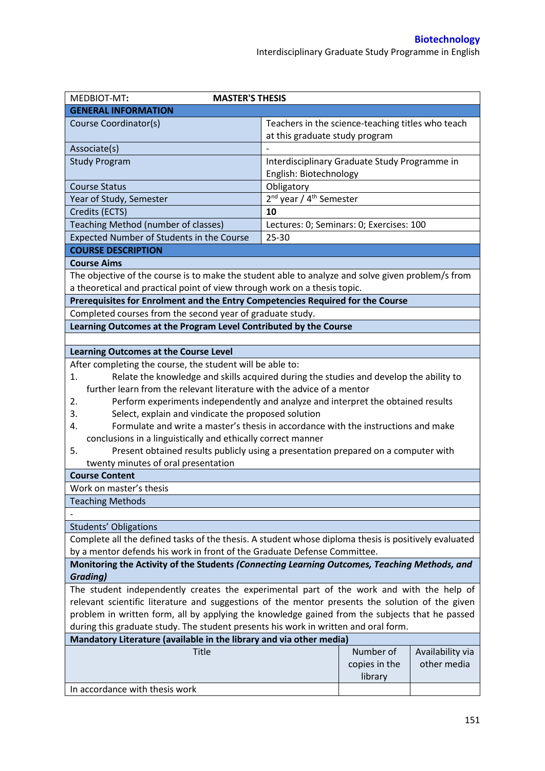| MEDBIOT-MT:<br><b>MASTER'S THESIS</b>                                                                |                                                   |               |                  |
|------------------------------------------------------------------------------------------------------|---------------------------------------------------|---------------|------------------|
| <b>GENERAL INFORMATION</b>                                                                           |                                                   |               |                  |
| Course Coordinator(s)                                                                                | Teachers in the science-teaching titles who teach |               |                  |
|                                                                                                      | at this graduate study program                    |               |                  |
| Associate(s)                                                                                         |                                                   |               |                  |
| <b>Study Program</b>                                                                                 | Interdisciplinary Graduate Study Programme in     |               |                  |
|                                                                                                      | English: Biotechnology                            |               |                  |
| <b>Course Status</b>                                                                                 | Obligatory                                        |               |                  |
| Year of Study, Semester                                                                              | 2 <sup>nd</sup> year / 4 <sup>th</sup> Semester   |               |                  |
| Credits (ECTS)                                                                                       | 10                                                |               |                  |
| Teaching Method (number of classes)                                                                  | Lectures: 0; Seminars: 0; Exercises: 100          |               |                  |
| Expected Number of Students in the Course                                                            | $25 - 30$                                         |               |                  |
| <b>COURSE DESCRIPTION</b>                                                                            |                                                   |               |                  |
| <b>Course Aims</b>                                                                                   |                                                   |               |                  |
| The objective of the course is to make the student able to analyze and solve given problem/s from    |                                                   |               |                  |
| a theoretical and practical point of view through work on a thesis topic.                            |                                                   |               |                  |
| Prerequisites for Enrolment and the Entry Competencies Required for the Course                       |                                                   |               |                  |
| Completed courses from the second year of graduate study.                                            |                                                   |               |                  |
| Learning Outcomes at the Program Level Contributed by the Course                                     |                                                   |               |                  |
|                                                                                                      |                                                   |               |                  |
| Learning Outcomes at the Course Level                                                                |                                                   |               |                  |
| After completing the course, the student will be able to:                                            |                                                   |               |                  |
| Relate the knowledge and skills acquired during the studies and develop the ability to<br>1.         |                                                   |               |                  |
| further learn from the relevant literature with the advice of a mentor                               |                                                   |               |                  |
| Perform experiments independently and analyze and interpret the obtained results<br>2.               |                                                   |               |                  |
| Select, explain and vindicate the proposed solution<br>3.                                            |                                                   |               |                  |
| Formulate and write a master's thesis in accordance with the instructions and make<br>4.             |                                                   |               |                  |
| conclusions in a linguistically and ethically correct manner                                         |                                                   |               |                  |
| Present obtained results publicly using a presentation prepared on a computer with<br>5.             |                                                   |               |                  |
| twenty minutes of oral presentation                                                                  |                                                   |               |                  |
| <b>Course Content</b>                                                                                |                                                   |               |                  |
| Work on master's thesis                                                                              |                                                   |               |                  |
| <b>Teaching Methods</b>                                                                              |                                                   |               |                  |
|                                                                                                      |                                                   |               |                  |
| <b>Students' Obligations</b>                                                                         |                                                   |               |                  |
| Complete all the defined tasks of the thesis. A student whose diploma thesis is positively evaluated |                                                   |               |                  |
| by a mentor defends his work in front of the Graduate Defense Committee.                             |                                                   |               |                  |
| Monitoring the Activity of the Students (Connecting Learning Outcomes, Teaching Methods, and         |                                                   |               |                  |
| <b>Grading)</b>                                                                                      |                                                   |               |                  |
| The student independently creates the experimental part of the work and with the help of             |                                                   |               |                  |
| relevant scientific literature and suggestions of the mentor presents the solution of the given      |                                                   |               |                  |
| problem in written form, all by applying the knowledge gained from the subjects that he passed       |                                                   |               |                  |
| during this graduate study. The student presents his work in written and oral form.                  |                                                   |               |                  |
| Mandatory Literature (available in the library and via other media)                                  |                                                   |               |                  |
| Title                                                                                                |                                                   | Number of     | Availability via |
|                                                                                                      |                                                   | copies in the | other media      |
|                                                                                                      |                                                   | library       |                  |
| In accordance with thesis work                                                                       |                                                   |               |                  |